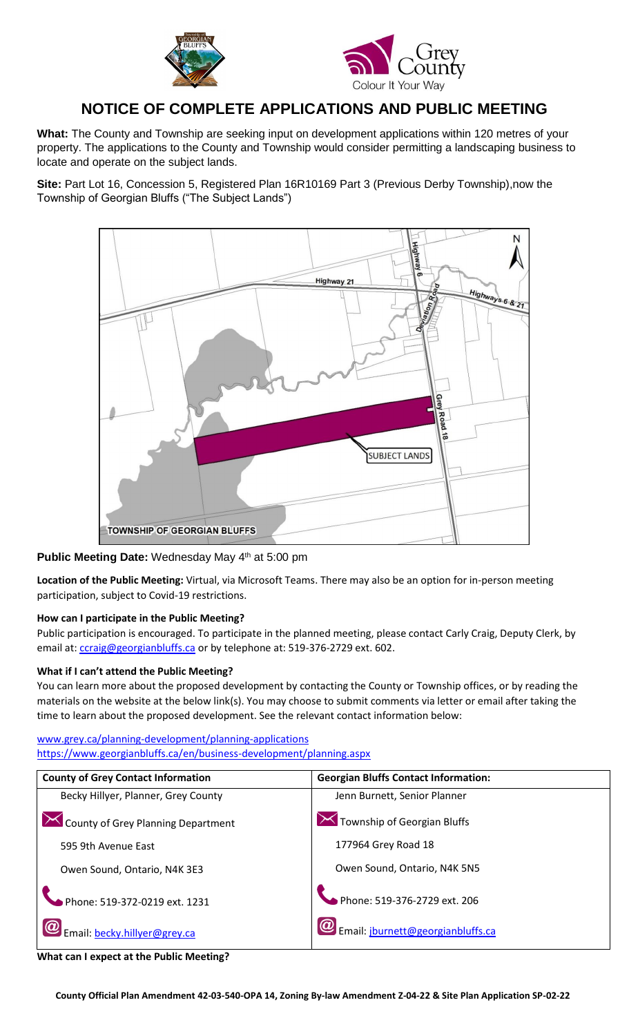



# **NOTICE OF COMPLETE APPLICATIONS AND PUBLIC MEETING**

**What:** The County and Township are seeking input on development applications within 120 metres of your property. The applications to the County and Township would consider permitting a landscaping business to locate and operate on the subject lands.

**Site:** Part Lot 16, Concession 5, Registered Plan 16R10169 Part 3 (Previous Derby Township),now the Township of Georgian Bluffs ("The Subject Lands")



### **Public Meeting Date: Wednesday May 4<sup>th</sup> at 5:00 pm**

**Location of the Public Meeting:** Virtual, via Microsoft Teams. There may also be an option for in-person meeting participation, subject to Covid-19 restrictions.

### **How can I participate in the Public Meeting?**

Public participation is encouraged. To participate in the planned meeting, please contact Carly Craig, Deputy Clerk, by email at[: ccraig@georgianbluffs.ca](mailto:ccraig@georgianbluffs.ca) or by telephone at: 519-376-2729 ext. 602.

### **What if I can't attend the Public Meeting?**

You can learn more about the proposed development by contacting the County or Township offices, or by reading the materials on the website at the below link(s). You may choose to submit comments via letter or email after taking the time to learn about the proposed development. See the relevant contact information below:

[www.grey.ca/planning-development/planning-applications](http://www.grey.ca/planning-development/planning-applications) <https://www.georgianbluffs.ca/en/business-development/planning.aspx>

| <b>County of Grey Contact Information</b> | <b>Georgian Bluffs Contact Information:</b>         |
|-------------------------------------------|-----------------------------------------------------|
| Becky Hillyer, Planner, Grey County       | Jenn Burnett, Senior Planner                        |
| County of Grey Planning Department        | $\overline{\mathbf{X}}$ Township of Georgian Bluffs |
| 595 9th Avenue East                       | 177964 Grey Road 18                                 |
| Owen Sound, Ontario, N4K 3E3              | Owen Sound, Ontario, N4K 5N5                        |
| Phone: 519-372-0219 ext. 1231             | Phone: 519-376-2729 ext. 206                        |
| Email: becky.hillyer@grey.ca              | Email: jburnett@georgianbluffs.ca                   |

**What can I expect at the Public Meeting?**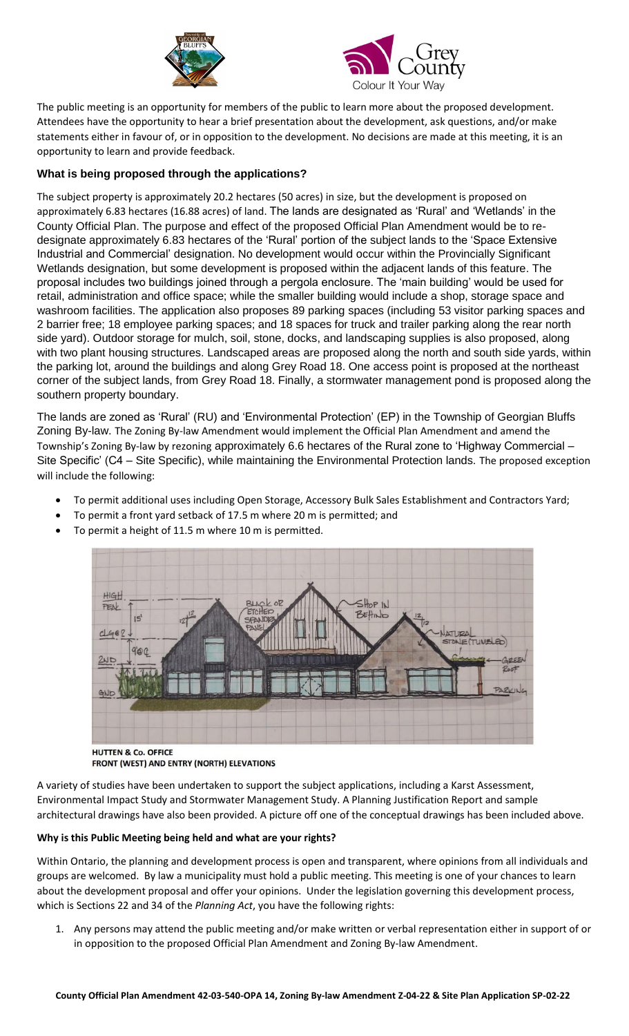



The public meeting is an opportunity for members of the public to learn more about the proposed development. Attendees have the opportunity to hear a brief presentation about the development, ask questions, and/or make statements either in favour of, or in opposition to the development. No decisions are made at this meeting, it is an opportunity to learn and provide feedback.

## **What is being proposed through the applications?**

The subject property is approximately 20.2 hectares (50 acres) in size, but the development is proposed on approximately 6.83 hectares (16.88 acres) of land. The lands are designated as 'Rural' and 'Wetlands' in the County Official Plan. The purpose and effect of the proposed Official Plan Amendment would be to redesignate approximately 6.83 hectares of the 'Rural' portion of the subject lands to the 'Space Extensive Industrial and Commercial' designation. No development would occur within the Provincially Significant Wetlands designation, but some development is proposed within the adjacent lands of this feature. The proposal includes two buildings joined through a pergola enclosure. The 'main building' would be used for retail, administration and office space; while the smaller building would include a shop, storage space and washroom facilities. The application also proposes 89 parking spaces (including 53 visitor parking spaces and 2 barrier free; 18 employee parking spaces; and 18 spaces for truck and trailer parking along the rear north side yard). Outdoor storage for mulch, soil, stone, docks, and landscaping supplies is also proposed, along with two plant housing structures. Landscaped areas are proposed along the north and south side yards, within the parking lot, around the buildings and along Grey Road 18. One access point is proposed at the northeast corner of the subject lands, from Grey Road 18. Finally, a stormwater management pond is proposed along the southern property boundary.

The lands are zoned as 'Rural' (RU) and 'Environmental Protection' (EP) in the Township of Georgian Bluffs Zoning By-law. The Zoning By-law Amendment would implement the Official Plan Amendment and amend the Township's Zoning By-law by rezoning approximately 6.6 hectares of the Rural zone to 'Highway Commercial – Site Specific' (C4 – Site Specific), while maintaining the Environmental Protection lands. The proposed exception will include the following:

- To permit additional uses including Open Storage, Accessory Bulk Sales Establishment and Contractors Yard;
- To permit a front yard setback of 17.5 m where 20 m is permitted; and
- To permit a height of 11.5 m where 10 m is permitted.



**HUTTEN & Co. OFFICE** FRONT (WEST) AND ENTRY (NORTH) ELEVATIONS

A variety of studies have been undertaken to support the subject applications, including a Karst Assessment, Environmental Impact Study and Stormwater Management Study. A Planning Justification Report and sample architectural drawings have also been provided. A picture off one of the conceptual drawings has been included above.

### **Why is this Public Meeting being held and what are your rights?**

Within Ontario, the planning and development process is open and transparent, where opinions from all individuals and groups are welcomed. By law a municipality must hold a public meeting. This meeting is one of your chances to learn about the development proposal and offer your opinions. Under the legislation governing this development process, which is Sections 22 and 34 of the *Planning Act*, you have the following rights:

1. Any persons may attend the public meeting and/or make written or verbal representation either in support of or in opposition to the proposed Official Plan Amendment and Zoning By-law Amendment.